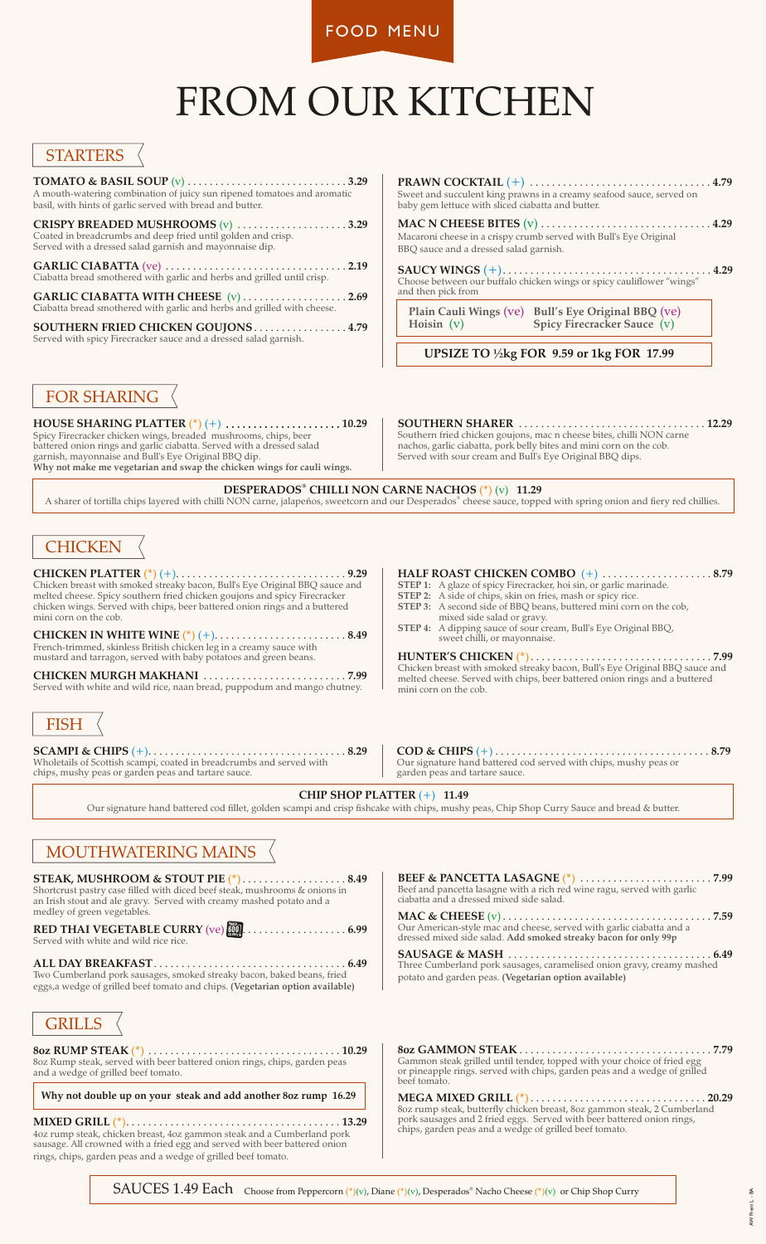FOOD MENU

# FROM OUR KITCHEN

#### **STARTERS**

**TOMATO & BASIL SOUP** (v) . . . . . . . . . . . . . . . . . . . . . . . . . . . . . **3.29** A mouth-watering combination of juicy sun ripened tomatoes and aromatic basil, with hints of garlic served with bread and butter.

**CRISPY BREADED MUSHROOMS** (v) . . . . . . . . . . . . . . . . . . . . **3.29** Coated in breadcrumbs and deep fried until golden and crisp. Served with a dressed salad garnish and mayonnaise dip.

**GARLIC CIABATTA** (ve) . . . . . . . . . . . . . . . . . . . . . . . . . . . . . . . . . **2.19** Ciabatta bread smothered with garlic and herbs and grilled until crisp.

**GARLIC CIABATTA WITH CHEESE** (v) . . . . . . . . . . . . . . . . . . . **2.69** Ciabatta bread smothered with garlic and herbs and grilled with cheese.

**SOUTHERN FRIED CHICKEN GOUJONS** . . . . . . . . . . . . . . . . . **4.79** Served with spicy Firecracker sauce and a dressed salad garnish.

**PRAWN COCKTAIL** (+) . . . . . . . . . . . . . . . . . . . . . . . . . . . . . . . . . **4.79** Sweet and succulent king prawns in a creamy seafood sauce, served on baby gem lettuce with sliced ciabatta and butter.

**MAC N CHEESE BITES** (v) . . . . . . . . . . . . . . . . . . . . . . . . . . . . . . . **4.29** Macaroni cheese in a crispy crumb served with Bull's Eye Original BBQ sauce and a dressed salad garnish.

**SAUCY WINGS** (+). . . . . . . . . . . . . . . . . . . . . . . . . . . . . . . . . . . . . . **4.29** Choose between our buffalo chicken wings or spicy cauliflower "wings" and then pick from

**Plain Cauli Wings** (ve) **Bull's Eye Original BBQ** (ve) **Spicy Firecracker Sauce** (v)

 **UPSIZE TO ½kg FOR 9.59 or 1kg FOR 17.99**

#### FOR SHARING

**HOUSE SHARING PLATTER** (\*) (+) . . . . . . . . . . . . . . . . . . . . . **10.29** Spicy Firecracker chicken wings, breaded mushrooms, chips, beer battered onion rings and garlic ciabatta. Served with a dressed salad garnish, mayonnaise and Bull's Eye Original BBQ dip. **Why not make me vegetarian and swap the chicken wings for cauli wings.**

#### **SOUTHERN SHARER** . . . . . . . . . . . . . . . . . . . . . . . . . . . . . . . . . . **12.29**

Southern fried chicken goujons, mac n cheese bites, chilli NON carne nachos, garlic ciabatta, pork belly bites and mini corn on the cob. Served with sour cream and Bull's Eye Original BBQ dips.

**® DESPERADOS CHILLI NON CARNE NACHOS** (\*) (v) **11.29**

A sharer of tortilla chips layered with chilli NON carne, jalapeños, sweetcorn and our Desperados® cheese sauce, topped with spring onion and fiery red chillies.

## **CHICKEN**

**CHICKEN PLATTER** (\*) (+). . . . . . . . . . . . . . . . . . . . . . . . . . . . . . . **9.29** Chicken breast with smoked streaky bacon, Bull's Eye Original BBQ sauce and melted cheese. Spicy southern fried chicken goujons and spicy Firecracker chicken wings. Served with chips, beer battered onion rings and a buttered mini corn on the cob.

**CHICKEN IN WHITE WINE** (\*) (+). . . . . . . . . . . . . . . . . . . . . . . . **8.49** French-trimmed, skinless British chicken leg in a creamy sauce with mustard and tarragon, served with baby potatoes and green beans.

**CHICKEN MURGH MAKHANI** . . . . . . . . . . . . . . . . . . . . . . . . . . **7.99** Served with white and wild rice, naan bread, puppodum and mango chutney.

# **FISH**

**SCAMPI & CHIPS** (+). . . . . . . . . . . . . . . . . . . . . . . . . . . . . . . . . . . . **8.29** Wholetails of Scottish scampi, coated in breadcrumbs and served with chips, mushy peas or garden peas and tartare sauce.

- **HALF ROAST CHICKEN COMBO** (+) . . . . . . . . . . . . . . . . . . . . **8.79**
- **STEP 1:** A glaze of spicy Firecracker, hoi sin, or garlic marinade. **STEP 2:** A side of chips, skin on fries, mash or spicy rice.
- **STEP 3:** A second side of BBQ beans, buttered mini corn on the cob,
- mixed side salad or gravy.
- **STEP 4:** A dipping sauce of sour cream, Bull's Eye Original BBQ, sweet chilli, or mayonnaise.

**HUNTER'S CHICKEN** (\*). . . . . . . . . . . . . . . . . . . . . . . . . . . . . . . . . **7.99**  Chicken breast with smoked streaky bacon, Bull's Eye Original BBQ sauce and melted cheese. Served with chips, beer battered onion rings and a buttered mini corn on the cob.

**COD & CHIPS** (+) . . . . . . . . . . . . . . . . . . . . . . . . . . . . . . . . . . . . . . . **8.79** Our signature hand battered cod served with chips, mushy peas or garden peas and tartare sauce.

#### **CHIP SHOP PLATTER** (+) **11.49**

Our signature hand battered cod fillet, golden scampi and crisp fishcake with chips, mushy peas, Chip Shop Curry Sauce and bread & butter.

### MOUTHWATERING MAINS

**STEAK, MUSHROOM & STOUT PIE** (\*). . . . . . . . . . . . . . . . . . . **8.49** Shortcrust pastry case filled with diced beef steak, mushrooms & onions in an Irish stout and ale gravy. Served with creamy mashed potato and a medley of green vegetables.

**RED THAI VEGETABLE CURRY** (ve) **[10]** . . . . . . . . . . . . . . . . . . 6.99 Served with white and wild rice rice. CALORIES

**ALL DAY BREAKFAST**. . . . . . . . . . . . . . . . . . . . . . . . . . . . . . . . . . . **6.49**

Two Cumberland pork sausages, smoked streaky bacon, baked beans, fried eggs,a wedge of grilled beef tomato and chips. **(Vegetarian option available)**



**8oz RUMP STEAK** (\*) . . . . . . . . . . . . . . . . . . . . . . . . . . . . . . . . . . . **10.29** 8oz Rump steak, served with beer battered onion rings, chips, garden peas and a wedge of grilled beef tomato.

**Why not double up on your steak and add another 8oz rump 16.29**

**MIXED GRILL** (\*). . . . . . . . . . . . . . . . . . . . . . . . . . . . . . . . . . . . . . . **13.29** 4oz rump steak, chicken breast, 4oz gammon steak and a Cumberland pork sausage. All crowned with a fried egg and served with beer battered onion rings, chips, garden peas and a wedge of grilled beef tomato.

**BEEF & PANCETTA LASAGNE** (\*) . . . . . . . . . . . . . . . . . . . . . . . . **7.99** Beef and pancetta lasagne with a rich red wine ragu, served with garlic ciabatta and a dressed mixed side salad.

**MAC & CHEESE** (v) . . . . . . . . . . . . . . . . . . . . . . . . . . . . . . . . . . . . . . **7.59** Our American-style mac and cheese, served with garlic ciabatta and a dressed mixed side salad. **Add smoked streaky bacon for only 99p**

**SAUSAGE & MASH** . . . . . . . . . . . . . . . . . . . . . . . . . . . . . . . . . . . . . **6.49** Three Cumberland pork sausages, caramelised onion gravy, creamy mashed potato and garden peas. **(Vegetarian option available)**

**8oz GAMMON STEAK** . . . . . . . . . . . . . . . . . . . . . . . . . . . . . . . . . . . **7.79** Gammon steak grilled until tender, topped with your choice of fried egg or pineapple rings. served with chips, garden peas and a wedge of grilled beef tomato.

**MEGA MIXED GRILL** (\*) . . . . . . . . . . . . . . . . . . . . . . . . . . . . . . . . **20.29** 8oz rump steak, butterfly chicken breast, 8oz gammon steak, 2 Cumberland pork sausages and 2 fried eggs. Served with beer battered onion rings, chips, garden peas and a wedge of grilled beef tomato.

 $SAUCES 1.49$  Each Choose from Peppercorn (\*)(v), Diane (\*)(v), Desperados<sup>®</sup> Nacho Cheese (\*)(v) or Chip Shop Curry